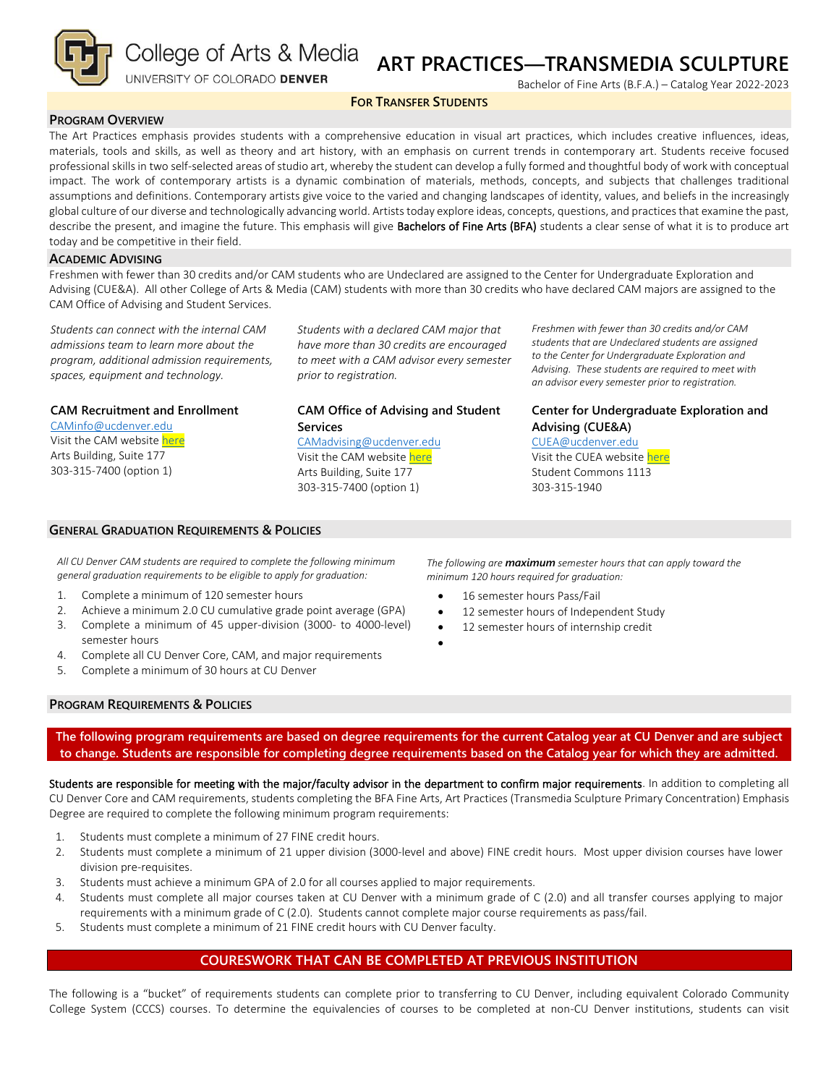

College of Arts & Media

UNIVERSITY OF COLORADO DENVER

# **ART PRACTICES—TRANSMEDIA SCULPTURE**

Bachelor of Fine Arts (B.F.A.) – Catalog Year 2022-2023

#### **FOR TRANSFER STUDENTS**

#### **PROGRAM OVERVIEW**

The Art Practices emphasis provides students with a comprehensive education in visual art practices, which includes creative influences, ideas, materials, tools and skills, as well as theory and art history, with an emphasis on current trends in contemporary art. Students receive focused professional skills in two self-selected areas of studio art, whereby the student can develop a fully formed and thoughtful body of work with conceptual impact. The work of contemporary artists is a dynamic combination of materials, methods, concepts, and subjects that challenges traditional assumptions and definitions. Contemporary artists give voice to the varied and changing landscapes of identity, values, and beliefs in the increasingly global culture of our diverse and technologically advancing world. Artists today explore ideas, concepts, questions, and practices that examine the past, describe the present, and imagine the future. This emphasis will give Bachelors of Fine Arts (BFA) students a clear sense of what it is to produce art today and be competitive in their field.

#### **ACADEMIC ADVISING**

Freshmen with fewer than 30 credits and/or CAM students who are Undeclared are assigned to the Center for Undergraduate Exploration and Advising (CUE&A). All other College of Arts & Media (CAM) students with more than 30 credits who have declared CAM majors are assigned to the CAM Office of Advising and Student Services.

*Students can connect with the internal CAM admissions team to learn more about the program, additional admission requirements, spaces, equipment and technology.*

**CAM Recruitment and Enrollment**

[CAMinfo@ucdenver.edu](mailto:CAMinfo@ucdenver.edu) Visit the CAM websit[e here](https://artsandmedia.ucdenver.edu/prospective-students/prospective-students) Arts Building, Suite 177 303-315-7400 (option 1)

*Students with a declared CAM major that have more than 30 credits are encouraged to meet with a CAM advisor every semester prior to registration.*

# **CAM Office of Advising and Student Services**

[CAMadvising@ucdenver.edu](mailto:CAMadvising@ucdenver.edu) Visit the CAM websit[e here](https://artsandmedia.ucdenver.edu/current-students/about-academic-advising) Arts Building, Suite 177 303-315-7400 (option 1)

*Freshmen with fewer than 30 credits and/or CAM students that are Undeclared students are assigned to the Center for Undergraduate Exploration and Advising. These students are required to meet with an advisor every semester prior to registration.*

# **Center for Undergraduate Exploration and Advising (CUE&A)**

[CUEA@ucdenver.edu](mailto:CUEA@ucdenver.edu) Visit the CUEA websit[e here](https://www.ucdenver.edu/center-for-undergraduate-exploration-and-advising) Student Commons 1113 303-315-1940

#### **GENERAL GRADUATION REQUIREMENTS & POLICIES**

*All CU Denver CAM students are required to complete the following minimum general graduation requirements to be eligible to apply for graduation:*

- 1. Complete a minimum of 120 semester hours
- 2. Achieve a minimum 2.0 CU cumulative grade point average (GPA)
- 3. Complete a minimum of 45 upper-division (3000- to 4000-level) semester hours
- 4. Complete all CU Denver Core, CAM, and major requirements
- 5. Complete a minimum of 30 hours at CU Denver

*The following are maximum semester hours that can apply toward the minimum 120 hours required for graduation:*

- 16 semester hours Pass/Fail
- 12 semester hours of Independent Study
- 12 semester hours of internship credit
- •

### **PROGRAM REQUIREMENTS & POLICIES**

**The following program requirements are based on degree requirements for the current Catalog year at CU Denver and are subject to change. Students are responsible for completing degree requirements based on the Catalog year for which they are admitted.**

Students are responsible for meeting with the major/faculty advisor in the department to confirm major requirements. In addition to completing all CU Denver Core and CAM requirements, students completing the BFA Fine Arts, Art Practices (Transmedia Sculpture Primary Concentration) Emphasis Degree are required to complete the following minimum program requirements:

- 1. Students must complete a minimum of 27 FINE credit hours.
- 2. Students must complete a minimum of 21 upper division (3000-level and above) FINE credit hours. Most upper division courses have lower division pre-requisites.
- 3. Students must achieve a minimum GPA of 2.0 for all courses applied to major requirements.
- 4. Students must complete all major courses taken at CU Denver with a minimum grade of C (2.0) and all transfer courses applying to major requirements with a minimum grade of C (2.0). Students cannot complete major course requirements as pass/fail.
- 5. Students must complete a minimum of 21 FINE credit hours with CU Denver faculty.

## **COURESWORK THAT CAN BE COMPLETED AT PREVIOUS INSTITUTION**

The following is a "bucket" of requirements students can complete prior to transferring to CU Denver, including equivalent Colorado Community College System (CCCS) courses. To determine the equivalencies of courses to be completed at non-CU Denver institutions, students can visit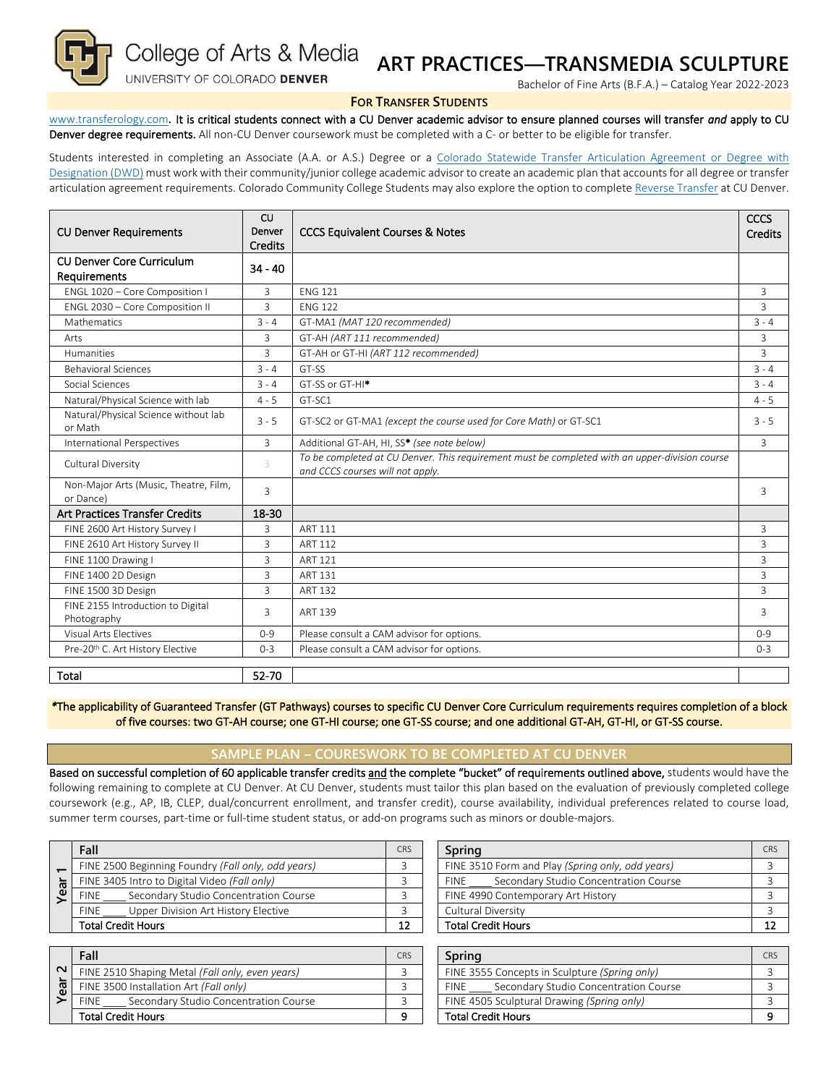

College of Arts & Media

### UNIVERSITY OF COLORADO DENVER

# **ART PRACTICES—TRANSMEDIA SCULPTURE**

Bachelor of Fine Arts (B.F.A.) – Catalog Year 2022-2023

#### **FOR TRANSFER STUDENTS**

[www.transferology.com](http://www.transferology.com/)**.** It is critical students connect with a CU Denver academic advisor to ensure planned courses will transfer *and* apply to CU Denver degree requirements. All non-CU Denver coursework must be completed with a C- or better to be eligible for transfer.

Students interested in completing an Associate (A.A. or A.S.) Degree or a Colorado Statewide Transfer Articulation Agreement or Degree with [Designation \(DWD\)](https://highered.colorado.gov/Academics/Transfers/TransferDegrees.html) must work with their community/junior college academic advisor to create an academic plan that accounts for all degree or transfer articulation agreement requirements. Colorado Community College Students may also explore the option to complet[e Reverse Transfer](https://degreewithinreach.wordpress.com/) at CU Denver.

| <b>CU Denver Requirements</b>                      | CU<br>Denver<br><b>Credits</b> | <b>CCCS Equivalent Courses &amp; Notes</b>                                                                                         |                |
|----------------------------------------------------|--------------------------------|------------------------------------------------------------------------------------------------------------------------------------|----------------|
| <b>CU Denver Core Curriculum</b><br>Requirements   | $34 - 40$                      |                                                                                                                                    |                |
| ENGL 1020 - Core Composition I                     | $\mathbf{R}$                   | <b>FNG 121</b>                                                                                                                     | 3              |
| ENGL 2030 - Core Composition II                    | 3                              | <b>FNG 122</b>                                                                                                                     | 3              |
| Mathematics                                        | $3 - 4$                        | GT-MA1 (MAT 120 recommended)                                                                                                       | $3 - 4$        |
| Arts                                               | 3                              | GT-AH (ART 111 recommended)                                                                                                        | 3              |
| <b>Humanities</b>                                  | $\overline{3}$                 | GT-AH or GT-HI (ART 112 recommended)                                                                                               | $\overline{3}$ |
| <b>Behavioral Sciences</b>                         | $3 - 4$                        | GT-SS                                                                                                                              | $3 - 4$        |
| Social Sciences                                    | $3 - 4$                        | GT-SS or GT-HI <sup>*</sup>                                                                                                        | $3 - 4$        |
| Natural/Physical Science with lab                  | $4 - 5$                        | GT-SC1                                                                                                                             | $4 - 5$        |
| Natural/Physical Science without lab<br>or Math    | $3 - 5$                        | GT-SC2 or GT-MA1 (except the course used for Core Math) or GT-SC1                                                                  | $3 - 5$        |
| <b>International Perspectives</b>                  | $\overline{3}$                 | Additional GT-AH, HI, SS* (see note below)                                                                                         | $\overline{3}$ |
| Cultural Diversity                                 | 3                              | To be completed at CU Denver. This requirement must be completed with an upper-division course<br>and CCCS courses will not apply. |                |
| Non-Major Arts (Music, Theatre, Film,<br>or Dance) | 3                              |                                                                                                                                    | 3              |
| <b>Art Practices Transfer Credits</b>              | 18-30                          |                                                                                                                                    |                |
| FINE 2600 Art History Survey I                     | 3                              | <b>ART 111</b>                                                                                                                     | 3              |
| FINE 2610 Art History Survey II                    | 3                              | <b>ART 112</b>                                                                                                                     | $\overline{3}$ |
| FINE 1100 Drawing I                                | 3                              | <b>ART 121</b>                                                                                                                     | $\overline{3}$ |
| FINE 1400 2D Design                                | 3                              | <b>ART 131</b>                                                                                                                     | 3              |
| FINE 1500 3D Design                                | 3                              | ART 132                                                                                                                            | 3              |
| FINE 2155 Introduction to Digital<br>Photography   | 3                              | <b>ART 139</b>                                                                                                                     | 3              |
| Visual Arts Flectives                              | $0 - 9$                        | Please consult a CAM advisor for options.                                                                                          | $0 - 9$        |
| Pre-20th C. Art History Elective                   | $0 - 3$                        | Please consult a CAM advisor for options.                                                                                          | $0 - 3$        |
| Total                                              | 52-70                          |                                                                                                                                    |                |

*\**The applicability of Guaranteed Transfer (GT Pathways) courses to specific CU Denver Core Curriculum requirements requires completion of a block of five courses: two GT-AH course; one GT-HI course; one GT-SS course; and one additional GT-AH, GT-HI, or GT-SS course.

### **SAMPLE PLAN – COURESWORK TO BE COMPLETED AT CU DENVER**

Based on successful completion of 60 applicable transfer credits and the complete "bucket" of requirements outlined above, students would have the following remaining to complete at CU Denver. At CU Denver, students must tailor this plan based on the evaluation of previously completed college coursework (e.g., AP, IB, CLEP, dual/concurrent enrollment, and transfer credit), course availability, individual preferences related to course load, summer term courses, part-time or full-time student status, or add-on programs such as minors or double-majors.

| ത<br>ω | Fall                                                 | CRS | Spring                                               | CR |
|--------|------------------------------------------------------|-----|------------------------------------------------------|----|
|        | FINE 2500 Beginning Foundry (Fall only, odd years)   |     | FINE 3510 Form and Play (Spring only, odd years)     |    |
|        | FINE 3405 Intro to Digital Video (Fall only)         |     | Secondary Studio Concentration Course<br><b>FINE</b> |    |
|        | Secondary Studio Concentration Course<br><b>FINE</b> |     | FINE 4990 Contemporary Art History                   |    |
|        | Upper Division Art History Elective<br><b>FINE</b>   |     | Cultural Diversity                                   |    |
|        | <b>Total Credit Hours</b>                            |     | <b>Total Credit Hours</b>                            |    |

| Fall                                                 |  | Spring                                               | CR <sub>5</sub> |
|------------------------------------------------------|--|------------------------------------------------------|-----------------|
| FINE 2500 Beginning Foundry (Fall only, odd years)   |  | FINE 3510 Form and Play (Spring only, odd years)     |                 |
| FINE 3405 Intro to Digital Video (Fall only)         |  | Secondary Studio Concentration Course<br><b>FINE</b> |                 |
| Secondary Studio Concentration Course<br><b>FINE</b> |  | FINE 4990 Contemporary Art History                   |                 |
| <b>FINE</b><br>Upper Division Art History Elective   |  | Cultural Diversity                                   |                 |
| Total Credit Hours                                   |  | <b>Total Credit Hours</b>                            |                 |

|        | Fall                                                 | CRS | Sprina                                               | CRS |
|--------|------------------------------------------------------|-----|------------------------------------------------------|-----|
| $\sim$ | FINE 2510 Shaping Metal (Fall only, even years)      |     | FINE 3555 Concepts in Sculpture (Spring only)        |     |
| සි     | FINE 3500 Installation Art (Fall only)               |     | Secondary Studio Concentration Course<br><b>FINE</b> |     |
|        | Secondary Studio Concentration Course<br><b>FINE</b> |     | FINE 4505 Sculptural Drawing (Spring only)           |     |
|        | <b>Total Credit Hours</b>                            |     | <b>Total Credit Hours</b>                            |     |

| Spring                                               |  |  |  |
|------------------------------------------------------|--|--|--|
| FINE 3555 Concepts in Sculpture (Spring only)        |  |  |  |
| Secondary Studio Concentration Course<br><b>FINE</b> |  |  |  |
| FINE 4505 Sculptural Drawing (Spring only)           |  |  |  |
| <b>Total Credit Hours</b>                            |  |  |  |